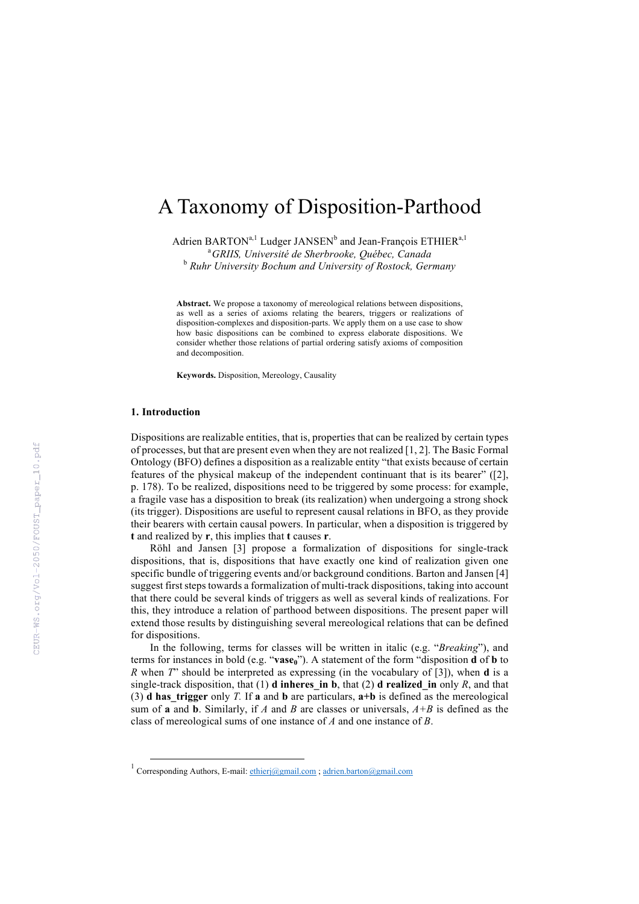# A Taxonomy of Disposition-Parthood

Adrien BARTON<sup>a,1</sup> Ludger JANSEN<sup>b</sup> and Jean-François ETHIER<sup>a,1</sup> a *GRIIS, Université de Sherbrooke, Québec, Canada* <sup>b</sup> *Ruhr University Bochum and University of Rostock, Germany*

**Abstract.** We propose a taxonomy of mereological relations between dispositions, as well as a series of axioms relating the bearers, triggers or realizations of disposition-complexes and disposition-parts. We apply them on a use case to show how basic dispositions can be combined to express elaborate dispositions. We consider whether those relations of partial ordering satisfy axioms of composition and decomposition.

**Keywords.** Disposition, Mereology, Causality

#### **1. Introduction**

Dispositions are realizable entities, that is, properties that can be realized by certain types of processes, but that are present even when they are not realized [1, 2]. The Basic Formal Ontology (BFO) defines a disposition as a realizable entity "that exists because of certain features of the physical makeup of the independent continuant that is its bearer" ([2], p. 178). To be realized, dispositions need to be triggered by some process: for example, a fragile vase has a disposition to break (its realization) when undergoing a strong shock (its trigger). Dispositions are useful to represent causal relations in BFO, as they provide their bearers with certain causal powers. In particular, when a disposition is triggered by **t** and realized by **r**, this implies that **t** causes **r**.

Röhl and Jansen [3] propose a formalization of dispositions for single-track dispositions, that is, dispositions that have exactly one kind of realization given one specific bundle of triggering events and/or background conditions. Barton and Jansen [4] suggest first steps towards a formalization of multi-track dispositions, taking into account that there could be several kinds of triggers as well as several kinds of realizations. For this, they introduce a relation of parthood between dispositions. The present paper will extend those results by distinguishing several mereological relations that can be defined for dispositions.

In the following, terms for classes will be written in italic (e.g. "*Breaking*"), and terms for instances in bold (e.g. "**vase0**"). A statement of the form "disposition **d** of **b** to *R* when *T*" should be interpreted as expressing (in the vocabulary of [3]), when **d** is a single-track disposition, that  $(1)$  **d inheres** in **b**, that  $(2)$  **d realized** in only *R*, and that (3) **d** has trigger only *T*. If **a** and **b** are particulars,  $a+b$  is defined as the mereological sum of **a** and **b**. Similarly, if *A* and *B* are classes or universals, *A+B* is defined as the class of mereological sums of one instance of *A* and one instance of *B*.

<sup>&</sup>lt;sup>1</sup> Corresponding Authors, E-mail: ethieri@gmail.com ; adrien.barton@gmail.com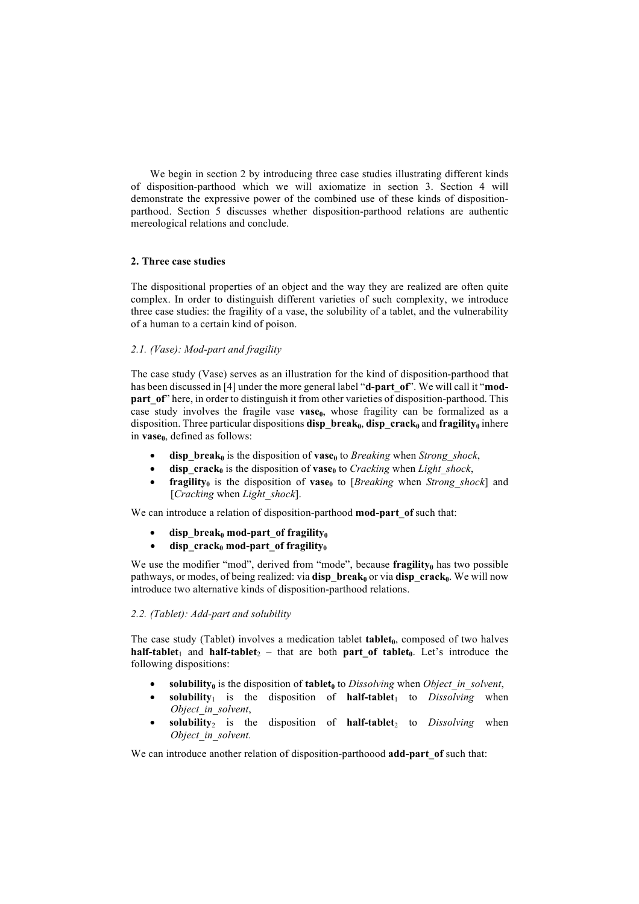We begin in section 2 by introducing three case studies illustrating different kinds of disposition-parthood which we will axiomatize in section 3. Section 4 will demonstrate the expressive power of the combined use of these kinds of dispositionparthood. Section 5 discusses whether disposition-parthood relations are authentic mereological relations and conclude.

### **2. Three case studies**

The dispositional properties of an object and the way they are realized are often quite complex. In order to distinguish different varieties of such complexity, we introduce three case studies: the fragility of a vase, the solubility of a tablet, and the vulnerability of a human to a certain kind of poison.

## *2.1. (Vase): Mod-part and fragility*

The case study (Vase) serves as an illustration for the kind of disposition-parthood that has been discussed in [4] under the more general label "**d-part\_of**". We will call it "**modpart** of " here, in order to distinguish it from other varieties of disposition-parthood. This case study involves the fragile vase **vase**<sub>0</sub>, whose fragility can be formalized as a disposition. Three particular dispositions **disp** break<sub>0</sub>, **disp** crack<sub>0</sub> and **fragility**<sub>0</sub> inhere in  $\mathbf{vase}_0$ , defined as follows:

- **disp\_break**<sup>0</sup> is the disposition of **vase**<sup>0</sup> to *Breaking* when *Strong* shock,
- $\text{disp } \text{crack}_0$  is the disposition of **vase**<sub>0</sub> to *Cracking* when *Light\_shock*,
- **fragility**<sup>0</sup> is the disposition of **vase**<sup>0</sup> to [*Breaking* when *Strong* shock] and [*Cracking* when *Light\_shock*].

We can introduce a relation of disposition-parthood **mod-part** of such that:

- disp break<sub>0</sub> mod-part of fragility<sub>0</sub>
- disp $\operatorname{crack}_0$  mod-part of fragility<sub>0</sub>

We use the modifier "mod", derived from "mode", because **fragility**<sup> $0$ </sup> has two possible pathways, or modes, of being realized: via **disp** break<sub>0</sub> or via **disp** crack<sub>0</sub>. We will now introduce two alternative kinds of disposition-parthood relations.

#### *2.2. (Tablet): Add-part and solubility*

The case study (Tablet) involves a medication tablet **tablet**<sub>0</sub>, composed of two halves **half-tablet**<sub>1</sub> and **half-tablet**<sub>2</sub> – that are both **part of tablet**<sub>0</sub>. Let's introduce the following dispositions:

- **solubility**<sup>0</sup> is the disposition of **tablet**<sup>0</sup> to *Dissolving* when *Object in solvent*,
- **is the disposition of**  $**half-tablet**<sub>1</sub>$  **to** *Dissolving* **when** *Object\_in\_solvent*,
- **solubility**<sub>2</sub> is the disposition of **half-tablet**<sub>2</sub> to *Dissolving* when *Object\_in\_solvent.*

We can introduce another relation of disposition-parthoood **add-part** of such that: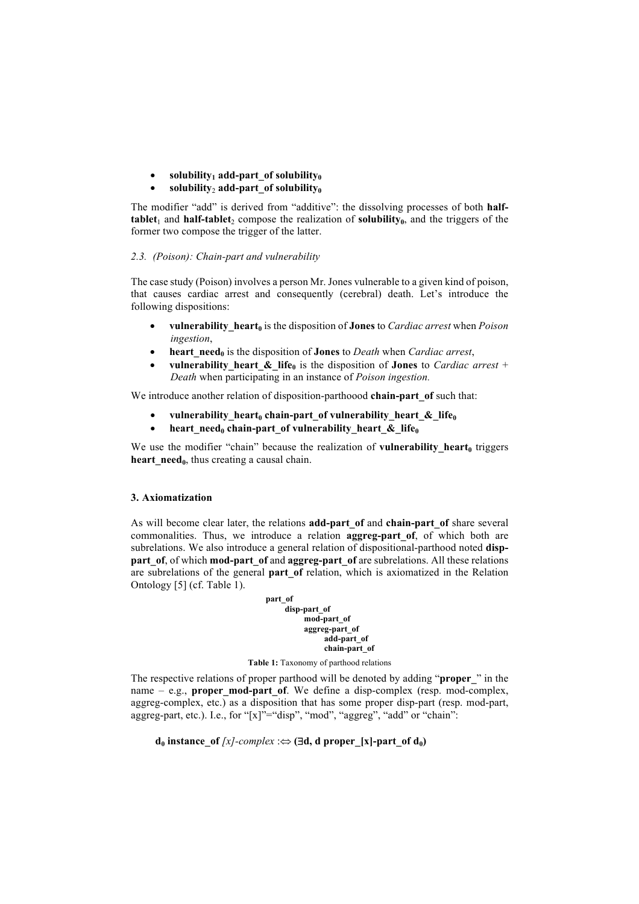# $solvability<sub>1</sub> add-part of solubility<sub>0</sub>$

## solubility<sub>2</sub> add-part of solubility<sub>0</sub>

The modifier "add" is derived from "additive": the dissolving processes of both **halftablet**<sub>1</sub> and **half-tablet**<sub>2</sub> compose the realization of **solubility**<sub>0</sub>, and the triggers of the former two compose the trigger of the latter.

## *2.3. (Poison): Chain-part and vulnerability*

The case study (Poison) involves a person Mr. Jones vulnerable to a given kind of poison, that causes cardiac arrest and consequently (cerebral) death. Let's introduce the following dispositions:

- **vulnerability\_heart0** is the disposition of **Jones** to *Cardiac arrest* when *Poison ingestion*,
- **heart**  $\text{need}_0$  is the disposition of **Jones** to *Death* when *Cardiac arrest*,
- **vulnerability** heart & life<sub>0</sub> is the disposition of **Jones** to *Cardiac arrest* + *Death* when participating in an instance of *Poison ingestion.*

We introduce another relation of disposition-parthoood **chain-part** of such that:

- vulnerability heart<sub>0</sub> chain-part of vulnerability heart  $\&$  life<sub>0</sub>
- **heart** need<sub>0</sub> **chain-part** of vulnerability heart  $\&$  life<sub>0</sub>

We use the modifier "chain" because the realization of **vulnerability** heart<sub>0</sub> triggers **heart** need<sub>0</sub>, thus creating a causal chain.

## **3. Axiomatization**

As will become clear later, the relations **add-part\_of** and **chain-part\_of** share several commonalities. Thus, we introduce a relation **aggreg-part\_of**, of which both are subrelations. We also introduce a general relation of dispositional-parthood noted **disppart** of, of which **mod-part** of and **aggreg-part** of are subrelations. All these relations are subrelations of the general **part** of relation, which is axiomatized in the Relation Ontology [5] (cf. Table 1).

**part\_of disp-part\_of mod-part\_of aggreg-part\_of add-part\_of chain-part\_of**

#### **Table 1:** Taxonomy of parthood relations

The respective relations of proper parthood will be denoted by adding "**proper\_**" in the name – e.g., **proper mod-part of**. We define a disp-complex (resp. mod-complex, aggreg-complex, etc.) as a disposition that has some proper disp-part (resp. mod-part, aggreg-part, etc.). I.e., for "[x]"="disp", "mod", "aggreg", "add" or "chain":

**d**<sub>0</sub> **instance** of  $[x]$ -complex : $\Leftrightarrow$  (**Bd**, **d** proper  $[x]$ -part of  $d_0$ )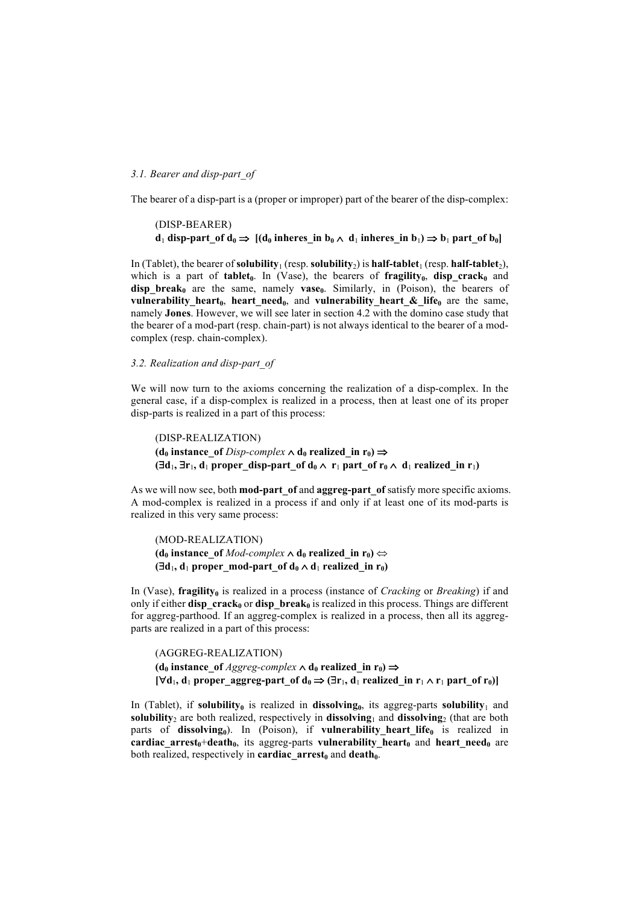#### *3.1. Bearer and disp-part\_of*

The bearer of a disp-part is a (proper or improper) part of the bearer of the disp-complex:

```
(DISP-BEARER)
d_1 disp-part of d_0 \Rightarrow [(d_0 \text{ in } b_0 \wedge d_1 \text{ in } b_0 \wedge d_1 \text{ in } b_1) \Rightarrow b_1 part of b_0]
```
In (Tablet), the bearer of **solubility**<sub>1</sub> (resp. **solubility**<sub>2</sub>) is **half-tablet**<sub>1</sub> (resp. **half-tablet**<sub>2</sub>), which is a part of **tablet**<sup>0</sup>. In (Vase), the bearers of **fragility**<sup>0</sup>, **disp crack**<sup>0</sup> and  $\overrightarrow{disp\,\, break_0}$  are the same, namely  $\overrightarrow{vase_0}$ . Similarly, in (Poison), the bearers of **vulnerability heart**<sub>0</sub>, heart need<sub>0</sub>, and **vulnerability heart & life**<sub>0</sub> are the same, namely **Jones**. However, we will see later in section 4.2 with the domino case study that the bearer of a mod-part (resp. chain-part) is not always identical to the bearer of a modcomplex (resp. chain-complex).

#### *3.2. Realization and disp-part\_of*

We will now turn to the axioms concerning the realization of a disp-complex. In the general case, if a disp-complex is realized in a process, then at least one of its proper disp-parts is realized in a part of this process:

(DISP-REALIZATION)  $(d_0$  **instance** of *Disp-complex*  $\land$  **d**<sub>0</sub> **realized** in r<sub>0</sub>)  $\Rightarrow$  $(\exists d_1, \exists r_1, d_1 \text{ proper disp-part of } d_0 \wedge r_1 \text{ part of } r_0 \wedge d_1 \text{ realized in } r_1)$ 

As we will now see, both **mod-part\_of** and **aggreg-part\_of** satisfy more specific axioms. A mod-complex is realized in a process if and only if at least one of its mod-parts is realized in this very same process:

(MOD-REALIZATION)  $(\mathbf{d}_0 \text{ instance of } \text{Mod-complex} \wedge \mathbf{d}_0 \text{ realized in } \mathbf{r}_0) \Leftrightarrow$  $(\exists d_1, d_1 \text{ proper mod-part of } d_0 \wedge d_1 \text{ realized in } r_0)$ 

In (Vase), **fragility**<sub>0</sub> is realized in a process (instance of *Cracking* or *Breaking*) if and only if either **disp\_crack**<sup>0</sup> or **disp\_break**<sup>0</sup> is realized in this process. Things are different for aggreg-parthood. If an aggreg-complex is realized in a process, then all its aggregparts are realized in a part of this process:

(AGGREG-REALIZATION)  $(d_0$  **instance** of *Aggreg-complex*  $\land$   $d_0$  **realized** in  $r_0$   $\Rightarrow$  $[\forall d_1, d_1$  **proper** aggreg-part of  $d_0 \Rightarrow (\exists r_1, d_1 \text{ realized in } r_1 \wedge r_1 \text{ part of } r_0)]$ 

In (Tablet), if **solubility**<sup>0</sup> is realized in **dissolving**<sup>0</sup>, its aggreg-parts **solubility**<sup>1</sup> and **solubility**<sup>2</sup> are both realized, respectively in **dissolving**<sup>1</sup> and **dissolving**<sup>2</sup> (that are both parts of dissolving<sub>0</sub>). In (Poison), if vulnerability\_heart\_life<sub>0</sub> is realized in  $cardiac_1$  arrest<sub>0</sub>+death<sub>0</sub>, its aggreg-parts **vulnerability** heart<sub>0</sub> and heart need<sub>0</sub> are both realized, respectively in **cardiac** arrest<sub>0</sub> and **death**<sub>0</sub>.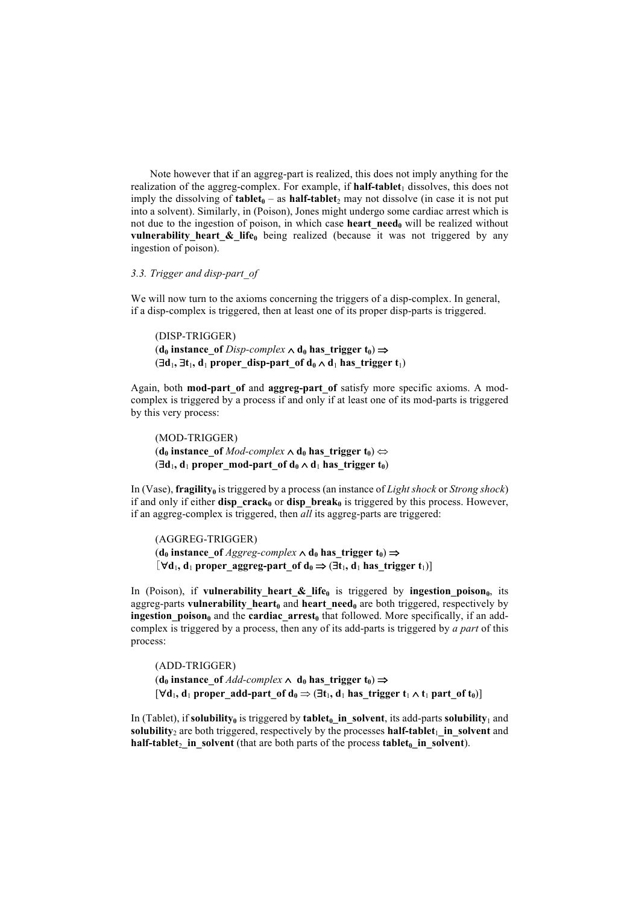Note however that if an aggreg-part is realized, this does not imply anything for the realization of the aggreg-complex. For example, if **half-tablet**<sub>1</sub> dissolves, this does not imply the dissolving of **tablet** $_0$  – as **half-tablet**<sub>2</sub> may not dissolve (in case it is not put into a solvent). Similarly, in (Poison), Jones might undergo some cardiac arrest which is not due to the ingestion of poison, in which case **heart** need<sub>0</sub> will be realized without **vulnerability heart**  $\&$  **life<sub>0</sub>** being realized (because it was not triggered by any ingestion of poison).

## *3.3. Trigger and disp-part\_of*

We will now turn to the axioms concerning the triggers of a disp-complex. In general, if a disp-complex is triggered, then at least one of its proper disp-parts is triggered.

(DISP-TRIGGER)  $(\mathbf{d}_0 \text{ instance of } Disp\text{-complex} \wedge \mathbf{d}_0 \text{ has trigger } \mathbf{t}_0) \Rightarrow$  $(\exists d_1, \exists t_1, d_1 \text{ proper disp-part of } d_0 \wedge d_1 \text{ has trigger } t_1)$ 

Again, both **mod-part\_of** and **aggreg-part\_of** satisfy more specific axioms. A modcomplex is triggered by a process if and only if at least one of its mod-parts is triggered by this very process:

(MOD-TRIGGER)  $(\mathbf{d}_0 \text{ instance of } Mod\text{-}complex \wedge \mathbf{d}_0 \text{ has trigger } \mathbf{t}_0) \Leftrightarrow$  $(\exists d_1, d_1$  proper\_mod-part\_of  $d_0 \wedge d_1$  has\_trigger  $t_0$ )

In (Vase), **fragility**<sup>0</sup> is triggered by a process (an instance of *Light shock* or *Strong shock*) if and only if either **disp** crack<sub>0</sub> or **disp** break<sub>0</sub> is triggered by this process. However, if an aggreg-complex is triggered, then *all* its aggreg-parts are triggered:

(AGGREG-TRIGGER)  $(\mathbf{d}_0 \text{ instance of } \text{Aggreg-complex} \wedge \mathbf{d}_0 \text{ has trigger } \mathbf{t}_0) \Rightarrow$  $[\forall d_1, d_1$  proper aggreg-part of  $d_0 \Rightarrow (\exists t_1, d_1$  has trigger  $t_1)$ ]

In (Poison), if **vulnerability** heart  $\&$  life<sub>0</sub> is triggered by **ingestion poison**<sub>0</sub>, its aggreg-parts **vulnerability\_heart**<sup>0</sup> and **heart\_need**<sup>0</sup> are both triggered, respectively by ingestion\_poison<sub>0</sub> and the **cardiac\_arrest**<sub>0</sub> that followed. More specifically, if an addcomplex is triggered by a process, then any of its add-parts is triggered by *a part* of this process:

(ADD-TRIGGER)  $(\mathbf{d}_0 \text{ instance of } Add\text{-complex} \wedge \mathbf{d}_0 \text{ has trigger } \mathbf{t}_0) \Rightarrow$  $[\forall d_1, d_1$  proper add-part of  $d_0 \Rightarrow (\exists t_1, d_1$  has trigger  $t_1 \wedge t_1$  part of  $t_0$ )]

In (Tablet), if **solubility**<sup>0</sup> is triggered by **tablet**<sup>0</sup> in solvent, its add-parts **solubility**<sub>1</sub> and **solubility**<sub>2</sub> are both triggered, respectively by the processes **half-tablet**<sub>1</sub> in solvent and **half-tablet**<sub>2</sub> in solvent (that are both parts of the process **tablet**<sup>0</sup> in solvent).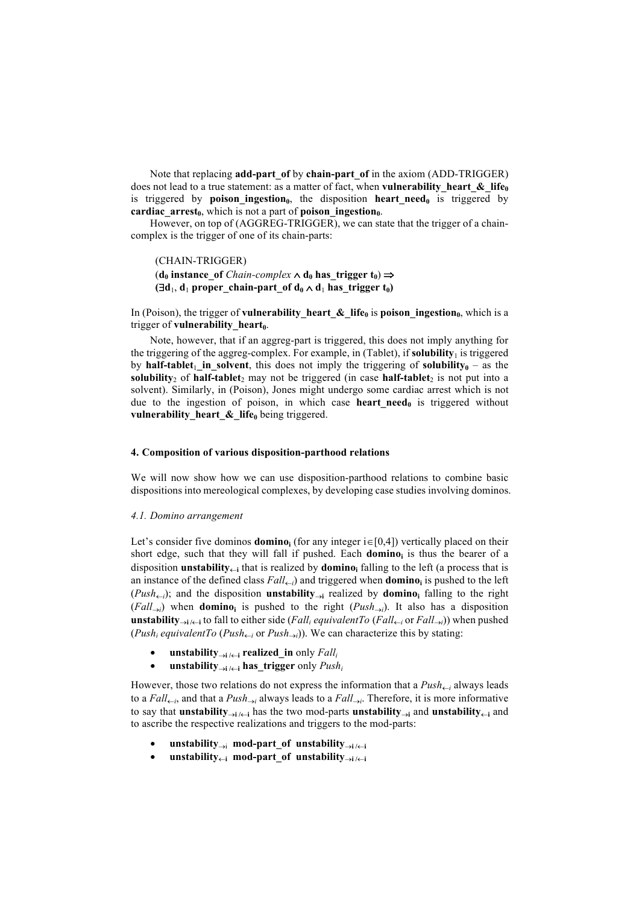Note that replacing **add-part\_of** by **chain-part\_of** in the axiom (ADD-TRIGGER) does not lead to a true statement: as a matter of fact, when **vulnerability** heart  $\&$  life<sub>0</sub> is triggered by **poison ingestion**<sub>0</sub>, the disposition **heart need**<sub>0</sub> is triggered by **cardiac** arrest<sub>0</sub>, which is not a part of **poison** ingestion<sub>0</sub>.

However, on top of (AGGREG-TRIGGER), we can state that the trigger of a chaincomplex is the trigger of one of its chain-parts:

(CHAIN-TRIGGER)  $(\mathbf{d}_0 \text{ instance of } Chain-complex \wedge \mathbf{d}_0 \text{ has trigger } \mathbf{t}_0) \Rightarrow$  $(\exists d_1, d_1 \text{ proper chain-part of } d_0 \wedge d_1 \text{ has trigger } t_0)$ 

In (Poison), the trigger of **vulnerability** heart  $\&$  life<sub>0</sub> is poison ingestion<sub>0</sub>, which is a trigger of **vulnerability** heart<sub>0</sub>.

Note, however, that if an aggreg-part is triggered, this does not imply anything for the triggering of the aggreg-complex. For example, in  $(Tablet)$ , if **solubility**<sub>1</sub> is triggered by **half-tablet**<sub>1</sub> in solvent, this does not imply the triggering of **solubility**<sub>0</sub> – as the solubility<sub>2</sub> of half-tablet<sub>2</sub> may not be triggered (in case half-tablet<sub>2</sub> is not put into a solvent). Similarly, in (Poison), Jones might undergo some cardiac arrest which is not due to the ingestion of poison, in which case **heart need**<sup> $0$ </sup> is triggered without **vulnerability** heart  $\&$  life<sub>0</sub> being triggered.

## **4. Composition of various disposition-parthood relations**

We will now show how we can use disposition-parthood relations to combine basic dispositions into mereological complexes, by developing case studies involving dominos.

#### *4.1. Domino arrangement*

Let's consider five dominos **domino**<sub>i</sub> (for any integer  $i \in [0,4]$ ) vertically placed on their short edge, such that they will fall if pushed. Each **dominoi** is thus the bearer of a disposition **unstability** $\leftarrow$ **i** that is realized by **domino**<sub>i</sub> falling to the left (a process that is an instance of the defined class  $Fall_{\leftarrow i}$ ) and triggered when **domino**<sub>i</sub> is pushed to the left  $(Push_{\leftarrow i})$ ; and the disposition **unstability**<sub> $\rightarrow i$ </sub> realized by **domino**<sub>i</sub> falling to the right  $(Fall_{\rightarrow i})$  when **domino**<sub>i</sub> is pushed to the right  $(Push_{\rightarrow i})$ . It also has a disposition **unstability** $\rightarrow$ **i**  $\leftarrow$  to fall to either side (*Fall<sub>i</sub> equivalentTo* (*Fall*<sub> $\leftarrow$ </sub> or *Fall* $\rightarrow$ )) when pushed (*Push<sub>i</sub> equivalentTo* (*Push<sub>* $\leftarrow i$ *</sub>* or *Push*<sub> $\rightarrow i$ </sub>)). We can characterize this by stating:

- **unstability**  $\rightarrow$ **i**  $/$   $\leftarrow$ **<b>i realized** in only *Fall*<sub>i</sub>
- **unstability**  $\rightarrow$ *i*  $\leftarrow$ **i has** trigger only  $Push_i$

However, those two relations do not express the information that a  $Push_{\leftarrow i}$  always leads to a *Fall*<sub> $\leftarrow i$ </sub>, and that a *Push*<sub> $\rightarrow i$ </sub> always leads to a *Fall* $\rightarrow$ *i*. Therefore, it is more informative to say that **unstability** is in the two mod-parts **unstability** is and **unstability** is and to ascribe the respective realizations and triggers to the mod-parts:

- **unstability** $\rightarrow$ **i mod-part** of **unstability** $\rightarrow$ **i** / $\leftarrow$ **i**
- $i \in \mathbb{R}$  **unstability** $\leftrightarrow$ **i** / $\leftrightarrow$ **i** *mod-part* of **unstability**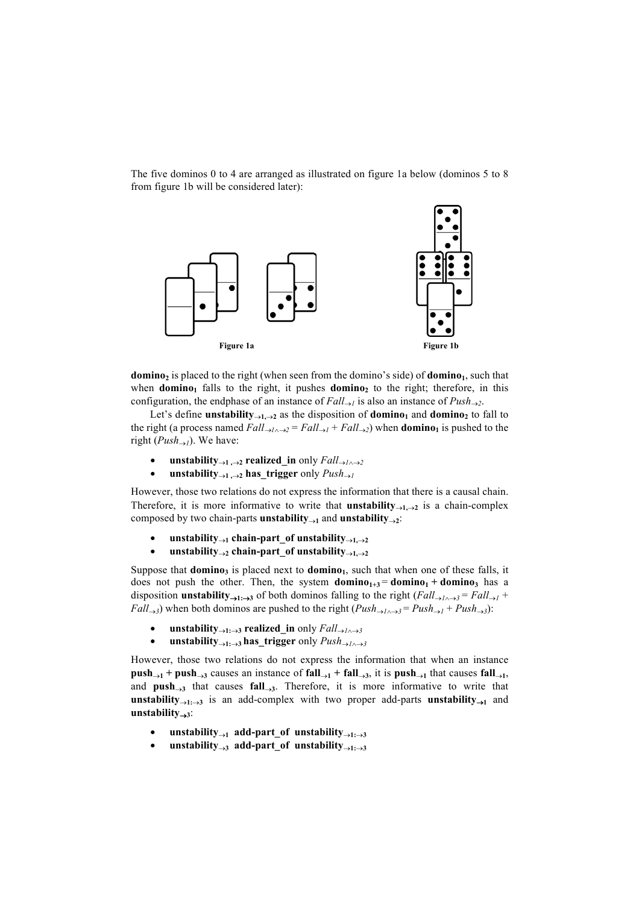The five dominos 0 to 4 are arranged as illustrated on figure 1a below (dominos 5 to 8 from figure 1b will be considered later):



**domino**<sub>2</sub> is placed to the right (when seen from the domino's side) of **domino**<sub>1</sub>, such that when **domino**<sub>1</sub> falls to the right, it pushes **domino**<sub>2</sub> to the right; therefore, in this configuration, the endphase of an instance of  $Fall_{\rightarrow l}$  is also an instance of  $Push_{\rightarrow 2}$ .

Let's define **unstability** $\rightarrow$ 1, $\rightarrow$ 2 as the disposition of **domino**<sub>1</sub> and **domino**<sub>2</sub> to fall to the right (a process named  $Fall_{\rightarrow l \rightarrow 2} = Fall_{\rightarrow l} + Fall_{\rightarrow 2})$  when **domino**<sub>1</sub> is pushed to the right ( $Push_{\rightarrow l}$ ). We have:

- **unstability** $\rightarrow$ **1**, $\rightarrow$ **2 realized\_in** only  $Fall_{\rightarrow}$ *1* $\land$  $\rightarrow$ 2
- **unstability** $\rightarrow$ 1, $\rightarrow$ 2 **has\_trigger** only *Push* $\rightarrow$ 1

However, those two relations do not express the information that there is a causal chain. Therefore, it is more informative to write that **unstability** $\rightarrow$ **1.** $\rightarrow$ **2** is a chain-complex composed by two chain-parts **unstability** $\rightarrow$ **1** and **unstability** $\rightarrow$ **2**:

- **unstability** $\rightarrow$ **1 chain-part** of **unstability** $\rightarrow$ **1.** $\rightarrow$ **2**
- **unstability** $\rightarrow$ **2 chain-part** of **unstability** $\rightarrow$ **1.** $\rightarrow$ **2**

Suppose that **domino**<sub>3</sub> is placed next to **domino**<sub>1</sub>, such that when one of these falls, it does not push the other. Then, the system **domino**<sub>1+3</sub> = **domino**<sub>1</sub> + **domino**<sub>3</sub> has a disposition **unstability**<sub> $\rightarrow$ 1: $\rightarrow$ 3</del> of both dominos falling to the right (*Fall* $\rightarrow$ <sub>*l* $\land$  $\rightarrow$ 3</sub> = *Fall* $\rightarrow$ *l* +</sub> *Fall* $\rightarrow$ 3) when both dominos are pushed to the right (*Push* $\rightarrow$ <sub>1</sub> $\rightarrow$ <sup>3</sup></sub> = *Push* $\rightarrow$ <sub>1</sub> + *Push* $\rightarrow$ 3):

- **unstability** $\rightarrow$ 1: $\rightarrow$ 3 **realized** in only *Fall* $\rightarrow$ 1 $\rightarrow$ 3
- **unstability** $\rightarrow$ <sup>1</sup> $\rightarrow$ 3</sub> **has** trigger only  $Push \rightarrow$ 10<sup>3</sup>

However, those two relations do not express the information that when an instance **push** $\rightarrow$ **1** + **push** $\rightarrow$ **3** causes an instance of **fall** $\rightarrow$ **1** + **fall** $\rightarrow$ **3**, it is **push** $\rightarrow$ **1** that causes **fall** $\rightarrow$ **1**, and  $push_{\rightarrow 3}$  that causes  $fall_{\rightarrow 3}$ . Therefore, it is more informative to write that **unstability** $\rightarrow$ 1: $\rightarrow$ **3** is an add-complex with two proper add-parts **unstability** $\rightarrow$ **1** and  $unstability<sub>→3</sub>:$ 

- $\text{unstability}_{\rightarrow 1}$  add-part\_of unstability $\rightarrow$ 1: $\rightarrow$ 3
- unstability $\rightarrow$ <sup>3</sup> add-part of unstability $\rightarrow$ <sup>1: $\rightarrow$ 3</sub></sup>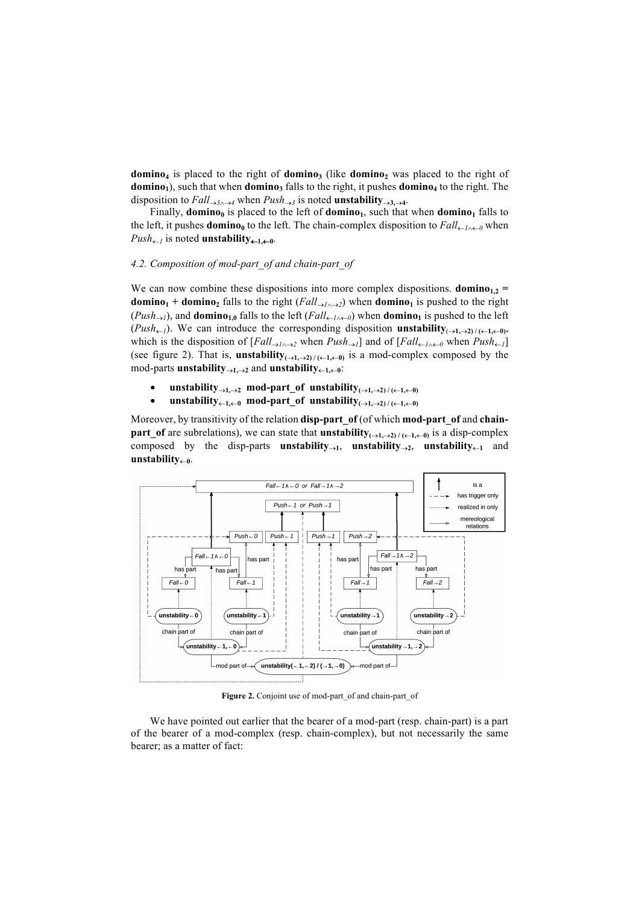**domino<sub>4</sub>** is placed to the right of **domino**<sub>3</sub> (like **domino**<sub>2</sub> was placed to the right of **domino**<sub>1</sub>), such that when **domino**<sub>3</sub> falls to the right, it pushes **domino**<sub>4</sub> to the right. The disposition to  $Fall_{\rightarrow 3\land \rightarrow 4}$  when  $Push_{\rightarrow 3}$  is noted **unstability** $\rightarrow$ 3, $\rightarrow$ 4.

Finally, **domino**<sub>0</sub> is placed to the left of **domino**<sub>1</sub>, such that when **domino**<sub>1</sub> falls to the left, it pushes **domino**<sub>0</sub> to the left. The chain-complex disposition to  $Fall_{\leftarrow l \wedge \leftarrow 0}$  when  $Push_{\leftarrow I}$  is noted **unstability** $_{\leftarrow I, \leftarrow 0}$ .

## *4.2. Composition of mod-part\_of and chain-part\_of*

We can now combine these dispositions into more complex dispositions. **domino**<sub>12</sub> = **domino<sub>1</sub> + domino**<sub>2</sub> falls to the right (*Fall* $\rightarrow$ *1* $\rightarrow$ *2*) when **domino**<sub>1</sub> is pushed to the right  $(Push_{\rightarrow}l)$ , and **domino**<sub>1,0</sub> falls to the left  $(Fall_{\leftarrow}l_{\wedge\leftarrow}l)$  when **domino**<sub>1</sub> is pushed to the left  $(Push_{\leftarrow}I)$ . We can introduce the corresponding disposition **unstability** $( \rightarrow 1, \rightarrow 2)$ / $( \leftarrow 1, \leftarrow 0)$ , which is the disposition of  $[Fall_{\rightarrow I \wedge \rightarrow 2}$  when  $Push_{\rightarrow I}$  and of  $[Fall_{\leftarrow I \wedge \leftarrow 0}$  when  $Push_{\leftarrow I}$ (see figure 2). That is, **unstability** $(0, 1, 0)$   $\neq (0, 1, 0)$  is a mod-complex composed by the  $mod$ -parts **unstability** $\rightarrow$ 1, $\rightarrow$ 2 and **unstability** $\leftarrow$ 1, $\leftarrow$ 0<sup>:</sup>

- $\text{unstability}_{\rightarrow 1,\rightarrow 2}$  mod-part\_of unstability $_{(\rightarrow 1,\rightarrow 2)/(\leftarrow 1,\leftarrow 0)}$
- $\text{unstability}_{\leftarrow 1, \leftarrow 0}$  mod-part\_of unstability $\text{p}_{\leftarrow 1, \leftarrow 2}$

Moreover, by transitivity of the relation **disp-part\_of** (of which **mod-part\_of** and **chainpart** of are subrelations), we can state that **unstability** $($  $\rightarrow$ **1,** $\rightarrow$ **2**) / $($  $\leftarrow$ **1,** $\leftarrow$  $\cdot$ **0**) is a disp-complex composed by the disp-parts **unstability** $\rightarrow$ <sub>1</sub>, **unstability** $\rightarrow$ <sub>2</sub>, **unstability** $\leftarrow$ **1** and  $unstability<sub>0</sub>$ 



Figure 2. Conjoint use of mod-part of and chain-part of

We have pointed out earlier that the bearer of a mod-part (resp. chain-part) is a part of the bearer of a mod-complex (resp. chain-complex), but not necessarily the same bearer; as a matter of fact: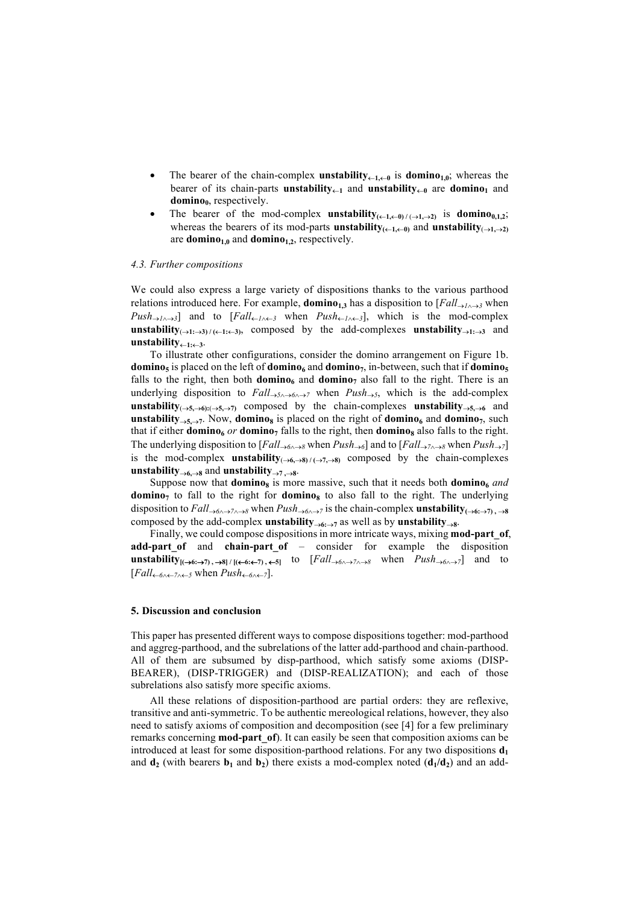- The bearer of the chain-complex **unstability** $\leftarrow$ **1,** $\leftarrow$ **0** is **domino**<sub>1,0</sub>; whereas the bearer of its chain-parts **unstability** $\leftarrow$ **1** and **unstability** $\leftarrow$ **0** are **domino1** and domino<sub>0</sub>, respectively.
- The bearer of the mod-complex **unstability** $(\leftarrow 1, \leftarrow 0) / (\rightarrow 1, \rightarrow 2)$  is **domino**<sub>0,1,2</sub>; whereas the bearers of its mod-parts **unstability**<sub>( $\leftarrow$ 1, $\leftarrow$ 0) and **unstability** $(\rightarrow$ 1, $\rightarrow$ 2)</sub> are **domino**<sub>1,0</sub> and **domino**<sub>1,2</sub>, respectively.

#### *4.3. Further compositions*

We could also express a large variety of dispositions thanks to the various parthood relations introduced here. For example, **domino**<sub>1,3</sub> has a disposition to  $[Fall_{\rightarrow}1_{\land\rightarrow3}$  when  $Push_{\rightarrow I \wedge \rightarrow 3}$  and to  $[Fall_{\leftarrow I \wedge \leftarrow 3}$  when  $Push_{\leftarrow I \wedge \leftarrow 3}$ , which is the mod-complex **unstability** $(0, 1; \rightarrow 3)$  / $(0, 1; \leftarrow 3)$ , composed by the add-complexes **unstability unstability** $\leftarrow$ 1: $\leftarrow$ 3.

To illustrate other configurations, consider the domino arrangement on Figure 1b. **domino**<sub>5</sub> is placed on the left of **domino**<sub>6</sub> and **domino**<sub>7</sub>, in-between, such that if **domino**<sub>5</sub> falls to the right, then both **domino**<sub>6</sub> and **domino**<sub>7</sub> also fall to the right. There is an underlying disposition to  $Fall_{\rightarrow 5\land \rightarrow 6\land \rightarrow 7}$  when  $Push_{\rightarrow 5}$ , which is the add-complex **unstability** $(0, 5, 0)$ : $(0, 5, 0)$  composed by the chain-complexes **unstability unstability** $\rightarrow$ 5, $\rightarrow$ 7. Now, **domino**<sub>8</sub> is placed on the right of **domino**<sub>6</sub> and **domino**<sub>7</sub>, such that if either **domino**<sub>6</sub> *or* **domino**<sub>7</sub> falls to the right, then **domino**<sub>8</sub> also falls to the right. The underlying disposition to  $[Fall_{\rightarrow 6\land \rightarrow 8}$  when  $Push_{\rightarrow 6}$  and to  $[Fall_{\rightarrow 7\land \rightarrow 8}$  when  $Push_{\rightarrow 7}$ is the mod-complex **unstability** $(\rightarrow 6, \rightarrow 8) / (\rightarrow 7, \rightarrow 8)$  composed by the chain-complexes **unstability** $\rightarrow$ <sup>6</sup>, $\rightarrow$ 8 and **unstability** $\rightarrow$ 7, $\rightarrow$ 8.

Suppose now that **domino**<sub>8</sub> is more massive, such that it needs both **domino**<sub>6</sub> and **domino**<sub>7</sub> to fall to the right for **domino**<sub>8</sub> to also fall to the right. The underlying disposition to  $Fall_{\rightarrow 6\land \rightarrow 7\land \rightarrow 8}$  when  $Push_{\rightarrow 6\land \rightarrow 7}$  is the chain-complex **unstability**( $\rightarrow 6: \rightarrow 7$ ),  $\rightarrow 8$ composed by the add-complex **unstability** $\rightarrow$ 6: $\rightarrow$ 7 as well as by **unstability** $\rightarrow$ 8.

Finally, we could compose dispositions in more intricate ways, mixing **mod-part\_of**, **add-part of** and **chain-part of** – consider for example the disposition **unstability**<sub> $[(\rightarrow 6:\rightarrow 7), \rightarrow 8]$  / $[(\leftarrow 6:\leftarrow 7), \leftarrow 5]$  to  $[Fall_{\rightarrow 6\land \rightarrow 7\land \rightarrow 8}$  when  $Push_{\rightarrow 6\land \rightarrow 7}$  and to</sub>  $[Fall_{\leftarrow 6 \wedge \leftarrow 7 \wedge \leftarrow 5}$  when  $Push_{\leftarrow 6 \wedge \leftarrow 7}$ .

#### **5. Discussion and conclusion**

This paper has presented different ways to compose dispositions together: mod-parthood and aggreg-parthood, and the subrelations of the latter add-parthood and chain-parthood. All of them are subsumed by disp-parthood, which satisfy some axioms (DISP-BEARER), (DISP-TRIGGER) and (DISP-REALIZATION); and each of those subrelations also satisfy more specific axioms.

All these relations of disposition-parthood are partial orders: they are reflexive, transitive and anti-symmetric. To be authentic mereological relations, however, they also need to satisfy axioms of composition and decomposition (see [4] for a few preliminary remarks concerning **mod-part\_of**). It can easily be seen that composition axioms can be introduced at least for some disposition-parthood relations. For any two dispositions  $\mathbf{d}_1$ and  $\mathbf{d}_2$  (with bearers  $\mathbf{b}_1$  and  $\mathbf{b}_2$ ) there exists a mod-complex noted  $(\mathbf{d}_1/\mathbf{d}_2)$  and an add-